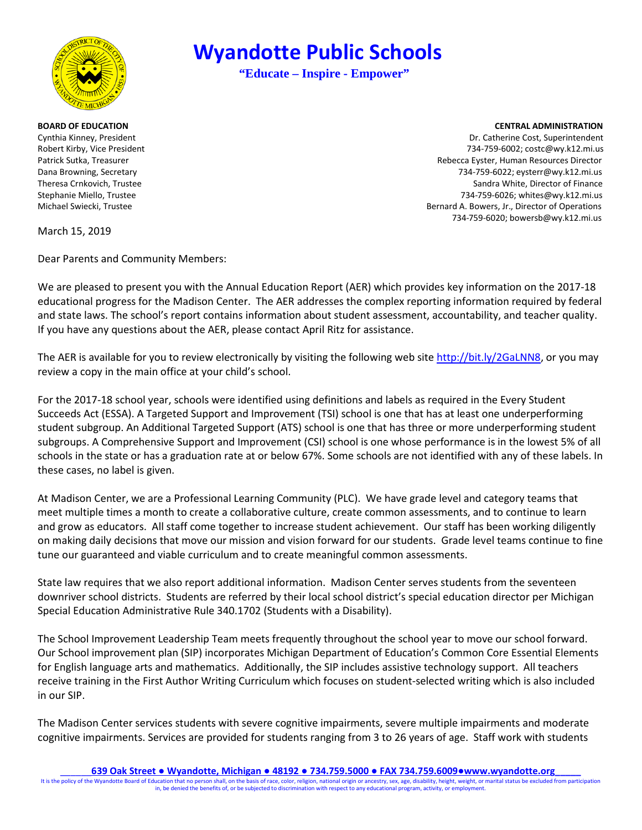

March 15, 2019

Dear Parents and Community Members:

We are pleased to present you with the Annual Education Report (AER) which provides key information on the 2017-18 educational progress for the Madison Center. The AER addresses the complex reporting information required by federal and state laws. The school's report contains information about student assessment, accountability, and teacher quality. If you have any questions about the AER, please contact April Ritz for assistance.

The AER is available for you to review electronically by visiting the following web sit[e http://bit.ly/2GaLNN8,](http://bit.ly/2GaLNN8) or you may review a copy in the main office at your child's school.

For the 2017-18 school year, schools were identified using definitions and labels as required in the Every Student Succeeds Act (ESSA). A Targeted Support and Improvement (TSI) school is one that has at least one underperforming student subgroup. An Additional Targeted Support (ATS) school is one that has three or more underperforming student subgroups. A Comprehensive Support and Improvement (CSI) school is one whose performance is in the lowest 5% of all schools in the state or has a graduation rate at or below 67%. Some schools are not identified with any of these labels. In these cases, no label is given.

At Madison Center, we are a Professional Learning Community (PLC). We have grade level and category teams that meet multiple times a month to create a collaborative culture, create common assessments, and to continue to learn and grow as educators. All staff come together to increase student achievement. Our staff has been working diligently on making daily decisions that move our mission and vision forward for our students. Grade level teams continue to fine tune our guaranteed and viable curriculum and to create meaningful common assessments.

State law requires that we also report additional information. Madison Center serves students from the seventeen downriver school districts. Students are referred by their local school district's special education director per Michigan Special Education Administrative Rule 340.1702 (Students with a Disability).

The School Improvement Leadership Team meets frequently throughout the school year to move our school forward. Our School improvement plan (SIP) incorporates Michigan Department of Education's Common Core Essential Elements for English language arts and mathematics. Additionally, the SIP includes assistive technology support. All teachers receive training in the First Author Writing Curriculum which focuses on student-selected writing which is also included in our SIP.

The Madison Center services students with severe cognitive impairments, severe multiple impairments and moderate cognitive impairments. Services are provided for students ranging from 3 to 26 years of age. Staff work with students

\_\_\_\_\_\_**639 Oak Street ● Wyandotte, Michigan ● 48192 ● 734.759.5000 ● FAX 734.759.6009●www.wyandotte.org\_\_\_\_\_**

It is the policy of the Wyandotte Board of Education that no person shall, on the basis of race, color, religion, national origin or ancestry, sex, age, disability, height, weight, or marital status be excluded from partic in, be denied the benefits of, or be subjected to discrimination with respect to any educational program, activity, or employment.

## **Wyandotte Public Schools**

**"Educate – Inspire - Empower"**

## **BOARD OF EDUCATION CENTRAL ADMINISTRATION**

Cynthia Kinney, President Dr. Catherine Cost, Superintendent Robert Kirby, Vice President **The State of Contract Contract Contract Contract Contract Contract Contract Contract Contract Contract Contract Contract Contract Contract Contract Contract Contract Contract Contract Contract** Patrick Sutka, Treasurer Rebecca Eyster, Human Resources Director Dana Browning, Secretary 734-759-6022; eysterr@wy.k12.mi.us Theresa Crnkovich, Trustee Sandra White, Director of Finance Stephanie Miello, Trustee 734-759-6026; whites@wy.k12.mi.us Michael Swiecki, Trustee **Bernard A. Bowers, Jr., Director of Operations** Bernard A. Bowers, Jr., Director of Operations 734-759-6020; bowersb@wy.k12.mi.us